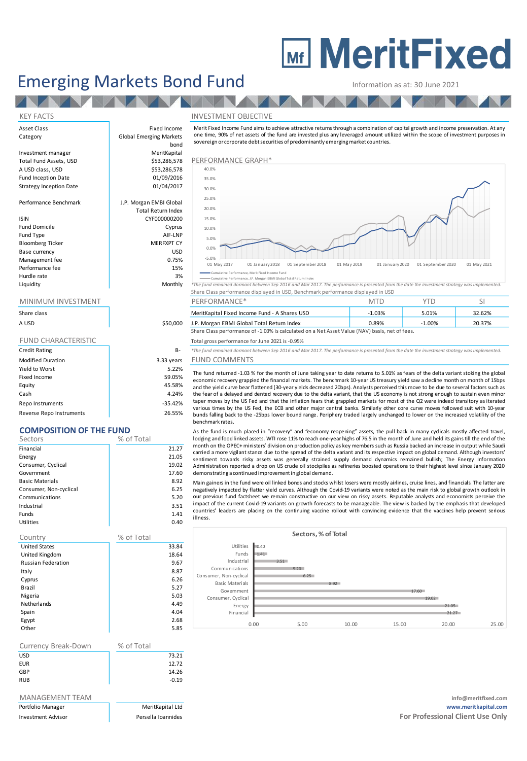# **MEDITY MeritFixed**

# Emerging Markets Bond Fund Information as at: 30 June 2021

#### KEY FACTS INVESTMENT OBJECTIVE

Merit Fixed Income Fund aims to achieve attractive returns through <sup>a</sup> combination of capital growth and income preservation. A t any one time, 90% of net assets of the fund are invested plus any leveraged amount utilized within the scope of investment purposes in sovereign or corporate debt securities of predominantly emerging market countries.



Cumulative Performance, J.P. Morgan EBMI Global Total Return Index

| Liquidity | *The fund remained dormant between Sep 2016 and Mar 2017. The performance is presented from the date the investment strategy was implemented. |
|-----------|-----------------------------------------------------------------------------------------------------------------------------------------------|
|           | Share Class performance displayed in USD, Benchmark performance displayed in USD                                                              |

|  |  | PERFORIVIANCE" |  |  |  |  |
|--|--|----------------|--|--|--|--|
|  |  |                |  |  |  |  |

| Share class |          | MeritKapital Fixed Income Fund - A Shares USD                                                  | 1.03% | 5.01%     | 32.62% |  |  |
|-------------|----------|------------------------------------------------------------------------------------------------|-------|-----------|--------|--|--|
| A USD       | \$50,000 | J.P. Morgan EBMI Global Total Return Index                                                     | 0.89% | $-1.00\%$ | 20.37% |  |  |
|             |          | Share Class performance of -1.03% is calculated on a Net Asset Value (NAV) basis, net of fees. |       |           |        |  |  |

#### Total gross performance for June 2021 is -0.95%

B-<br> **B**- *\*The fund remained dormant between Sep 2016 and Mar 2017. The performance is presented from the date the investment strategy was implemented.* 

### ars FUND COMMENTS

The fund returned -1.03 % for the month of June taking year to date returns to 5.01% as fears of the delta variant stoking the global economic recovery grappled the financial markets. The benchmark 10-year US treasury yield saw <sup>a</sup> decline month on month of 15bps and the yield curve bear flattened (30-year yields decreased 20bps). Analysts perceived this move to be due to several factors such as the fear of a delayed and dented recovery due to the delta variant, that the US economy is not strong enough to sustain even minor taper moves by the US Fed and that the inflation fears that grappled markets for most of the Q2 were indeed transitory as iterated various times by the US Fed, the ECB and other major central banks. Similarly other core curve moves followed suit with 10-year bunds falling back to the -25bps lower bound range. Periphery traded largely unchanged to lower on the increased volatility of the benchmark rates.

As the fund is much placed in "recovery" and "economy reopening" assets, the pull back in many cydicals mostly affected travel, lodging and food linked assets. WTI rose 11% to reach one-year highs of 76.5 in the month of June and held its gains till the end of the month on the OPEC+ ministers' division on production policy as key members such as Russia backed an increase in output while Saudi carried <sup>a</sup> more vigilant stance due to the spread of the delta variant and its respective impact on global demand. Although investors' sentiment towards risky assets was generally strained supply demand dynamics remained bullish; The Energy Information Administration reported <sup>a</sup> drop on US crude oil stockpiles as refineries boosted operations to their highest level since January 2020 demonstrating a continued improvement in global demand.

Main gainers in the fund were oil linked bonds and stocks whilst losers were mostly airlines, cruise lines, and financials. The latter are negatively impacted by flatter yield curves. Although the Covid-19 variants were noted as the main risk to global growth outlook i n our previous fund factsheet we remain constructive on our view on risky assets. Reputable analysts and economists perceive the impact of the current Covid-19 variants on growth forecasts to be manageable. The view i s backed by the emphasis that developed countries' leaders are placing on the continuing vaccine rollout with convincing evidence that the vaccines help prevent serious illness.



| Asset Class             | Fixed Income                   | Merit Fixed Income Fund aims to   |  |  |
|-------------------------|--------------------------------|-----------------------------------|--|--|
| Category                | <b>Global Emerging Markets</b> | one time, 90% of net assets of th |  |  |
|                         | bond                           | sovereign or corporate debt secu  |  |  |
| Investment manager      | MeritKapital                   |                                   |  |  |
| Total Fund Assets, USD  | \$53,286,578                   | PERFORMANCE GRAPH*                |  |  |
| A USD class, USD        | \$53,286,578                   | 40.0%                             |  |  |
| Fund Inception Date     | 01/09/2016                     | 35.0%                             |  |  |
| Strategy Inception Date | 01/04/2017                     | 30.0%                             |  |  |
| Performance Benchmark   | J.P. Morgan EMBI Global        | 25.0%                             |  |  |
|                         | <b>Total Return Index</b>      | 20.0%                             |  |  |
| <b>ISIN</b>             | CYF000000200                   | 15.0%                             |  |  |
| <b>Fund Domicile</b>    | Cyprus                         | 10.0%                             |  |  |
| Fund Type               | AIF-LNP                        | 5.0%                              |  |  |
| <b>Bloomberg Ticker</b> | <b>MERFXPT CY</b>              |                                   |  |  |
| Base currency           | <b>USD</b>                     | 0.0%                              |  |  |
| Management fee          | 0.75%                          | $-5.0%$                           |  |  |

#### MINIMUM INVESTMENT THE RESERVE PERFORMANCE\* THE MTD TO YTD SI

| Share class                |            |
|----------------------------|------------|
| A USD                      | \$50,000   |
|                            |            |
| <b>FUND CHARACTERISTIC</b> |            |
| <b>Credit Rating</b>       | $B -$      |
| <b>Modified Duration</b>   | 3.33 years |
| Yield to Worst             | 5.22%      |
| Fixed Income               | 59.05%     |
| Equity                     | 45.58%     |
| Cash                       | 4.24%      |
| Repo Instruments           | $-35.42%$  |

Performance fee 15% Hurdle rate and the state of the 3% and 3% and 3% and 3% and 3% and 3% and 3% and 3% and 3% and 3% and 3% and 3% and 3% and 3% and 3% and 3% and 3% and 3% and 3% and 3% and 3% and 3% and 3% and 3% and 3% and 3% and 3% and

## Reverse Repo Instruments 26.55%

**COMPOSITION OF THE FUND**

| Sectors                | % of Total |
|------------------------|------------|
| Financial              | 21.27      |
| Energy                 | 21.05      |
| Consumer, Cyclical     | 19.02      |
| Government             | 17.60      |
| <b>Basic Materials</b> | 8.92       |
| Consumer, Non-cyclical | 6.25       |
| Communications         | 5.20       |
| Industrial             | 3.51       |

Funds 1.41 Utilities 0.40

| Country                   | % of Total |
|---------------------------|------------|
| <b>United States</b>      | 33.84      |
| United Kingdom            | 18.64      |
| <b>Russian Federation</b> | 9.67       |
| Italy                     | 8.87       |
| Cyprus                    | 6.26       |
| Brazil                    | 5.27       |
| Nigeria                   | 5.03       |
| <b>Netherlands</b>        | 4.49       |
| Spain                     | 4.04       |
| Egypt                     | 2.68       |
| Other                     | 5.85       |

| Currency Break-Down | % of Total |         |
|---------------------|------------|---------|
| <b>USD</b>          |            | 73.21   |
| <b>EUR</b>          |            | 12.72   |
| GBP                 |            | 14.26   |
| <b>RUB</b>          |            | $-0.19$ |
|                     |            |         |

MANAGEMENT TEAM **info@meritfixed.com** Portfolio Manager MeritKapital Ltd **www.meritkapital.com** Investment Advisor **Formulates** Persella Ioannides **Formulates For Professional Client Use Only Formulates For Professional Client Use Only**